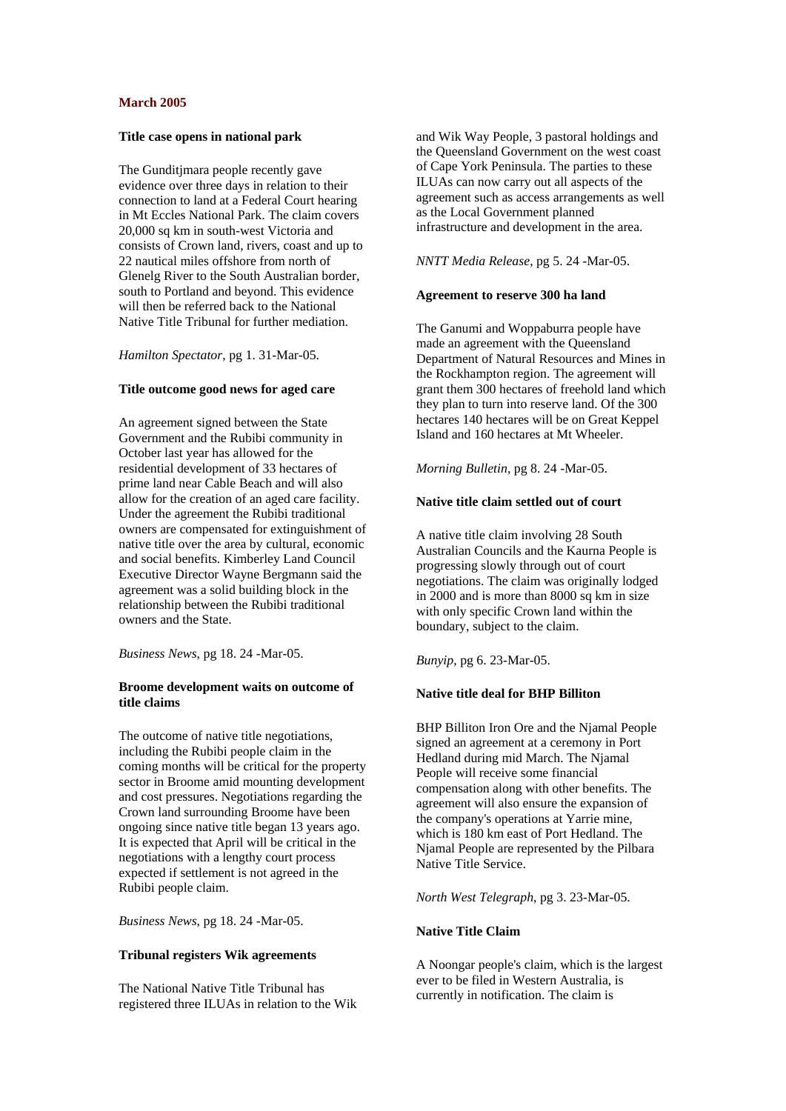# **March 2005**

### **Title case opens in national park**

The Gunditimara people recently gave evidence over three days in relation to their connection to land at a Federal Court hearing in Mt Eccles National Park. The claim covers 20,000 sq km in south-west Victoria and consists of Crown land, rivers, coast and up to 22 nautical miles offshore from north of Glenelg River to the South Australian border, south to Portland and beyond. This evidence will then be referred back to the National Native Title Tribunal for further mediation.

### *Hamilton Spectator*, pg 1. 31-Mar-05.

### **Title outcome good news for aged care**

An agreement signed between the State Government and the Rubibi community in October last year has allowed for the residential development of 33 hectares of prime land near Cable Beach and will also allow for the creation of an aged care facility. Under the agreement the Rubibi traditional owners are compensated for extinguishment of native title over the area by cultural, economic and social benefits. Kimberley Land Council Executive Director Wayne Bergmann said the agreement was a solid building block in the relationship between the Rubibi traditional owners and the State.

*Business News*, pg 18. 24 -Mar-05.

# **Broome development waits on outcome of title claims**

The outcome of native title negotiations, including the Rubibi people claim in the coming months will be critical for the property sector in Broome amid mounting development and cost pressures. Negotiations regarding the Crown land surrounding Broome have been ongoing since native title began 13 years ago. It is expected that April will be critical in the negotiations with a lengthy court process expected if settlement is not agreed in the Rubibi people claim.

*Business News*, pg 18. 24 -Mar-05.

#### **Tribunal registers Wik agreements**

The National Native Title Tribunal has registered three ILUAs in relation to the Wik

and Wik Way People, 3 pastoral holdings and the Queensland Government on the west coast of Cape York Peninsula. The parties to these ILUAs can now carry out all aspects of the agreement such as access arrangements as well as the Local Government planned infrastructure and development in the area.

#### *NNTT Media Release*, pg 5. 24 -Mar-05.

### **Agreement to reserve 300 ha land**

The Ganumi and Woppaburra people have made an agreement with the Queensland Department of Natural Resources and Mines in the Rockhampton region. The agreement will grant them 300 hectares of freehold land which they plan to turn into reserve land. Of the 300 hectares 140 hectares will be on Great Keppel Island and 160 hectares at Mt Wheeler.

*Morning Bulletin*, pg 8. 24 -Mar-05.

# **Native title claim settled out of court**

A native title claim involving 28 South Australian Councils and the Kaurna People is progressing slowly through out of court negotiations. The claim was originally lodged in 2000 and is more than 8000 sq km in size with only specific Crown land within the boundary, subject to the claim.

*Bunyip*, pg 6. 23-Mar-05.

#### **Native title deal for BHP Billiton**

BHP Billiton Iron Ore and the Njamal People signed an agreement at a ceremony in Port Hedland during mid March. The Njamal People will receive some financial compensation along with other benefits. The agreement will also ensure the expansion of the company's operations at Yarrie mine, which is 180 km east of Port Hedland. The Njamal People are represented by the Pilbara Native Title Service.

*North West Telegraph*, pg 3. 23-Mar-05.

### **Native Title Claim**

A Noongar people's claim, which is the largest ever to be filed in Western Australia, is currently in notification. The claim is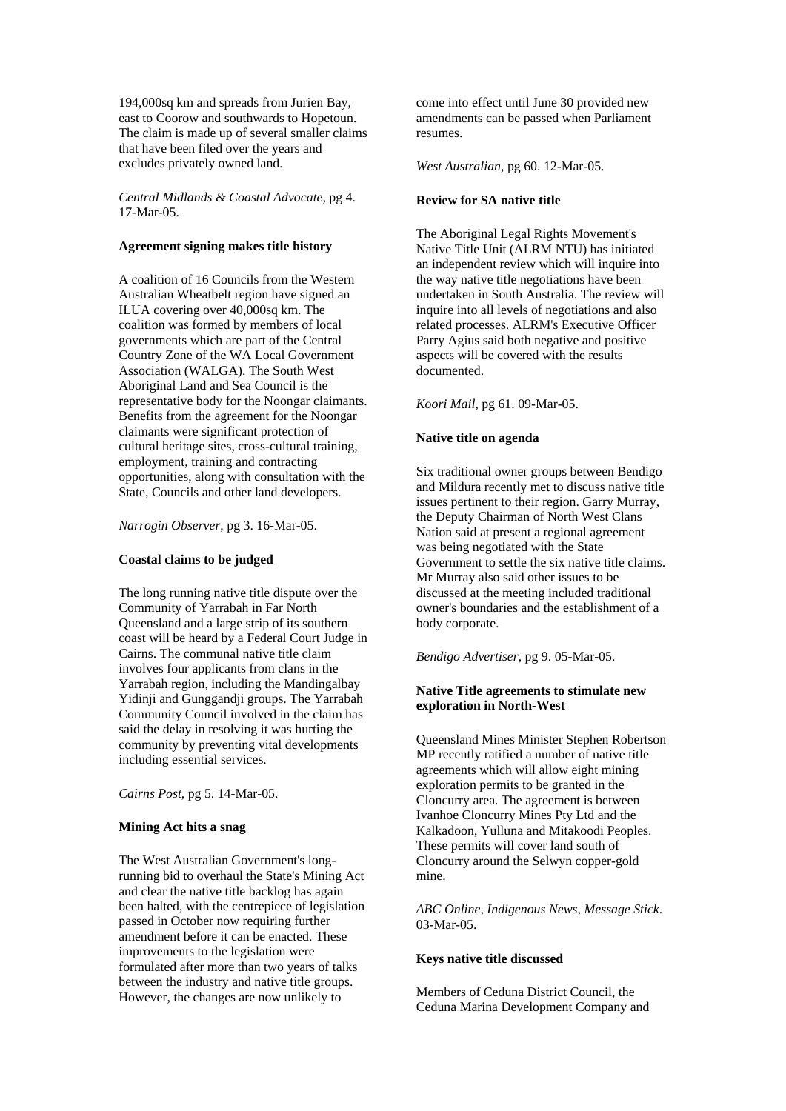194,000sq km and spreads from Jurien Bay, east to Coorow and southwards to Hopetoun. The claim is made up of several smaller claims that have been filed over the years and excludes privately owned land.

*Central Midlands & Coastal Advocate*, pg 4. 17-Mar-05.

# **Agreement signing makes title history**

A coalition of 16 Councils from the Western Australian Wheatbelt region have signed an ILUA covering over 40,000sq km. The coalition was formed by members of local governments which are part of the Central Country Zone of the WA Local Government Association (WALGA). The South West Aboriginal Land and Sea Council is the representative body for the Noongar claimants. Benefits from the agreement for the Noongar claimants were significant protection of cultural heritage sites, cross-cultural training, employment, training and contracting opportunities, along with consultation with the State, Councils and other land developers.

*Narrogin Observer*, pg 3. 16-Mar-05.

# **Coastal claims to be judged**

The long running native title dispute over the Community of Yarrabah in Far North Queensland and a large strip of its southern coast will be heard by a Federal Court Judge in Cairns. The communal native title claim involves four applicants from clans in the Yarrabah region, including the Mandingalbay Yidinji and Gunggandji groups. The Yarrabah Community Council involved in the claim has said the delay in resolving it was hurting the community by preventing vital developments including essential services.

*Cairns Post*, pg 5. 14-Mar-05.

#### **Mining Act hits a snag**

The West Australian Government's longrunning bid to overhaul the State's Mining Act and clear the native title backlog has again been halted, with the centrepiece of legislation passed in October now requiring further amendment before it can be enacted. These improvements to the legislation were formulated after more than two years of talks between the industry and native title groups. However, the changes are now unlikely to

come into effect until June 30 provided new amendments can be passed when Parliament resumes.

*West Australian*, pg 60. 12-Mar-05.

### **Review for SA native title**

The Aboriginal Legal Rights Movement's Native Title Unit (ALRM NTU) has initiated an independent review which will inquire into the way native title negotiations have been undertaken in South Australia. The review will inquire into all levels of negotiations and also related processes. ALRM's Executive Officer Parry Agius said both negative and positive aspects will be covered with the results documented.

### *Koori Mail*, pg 61. 09-Mar-05.

#### **Native title on agenda**

Six traditional owner groups between Bendigo and Mildura recently met to discuss native title issues pertinent to their region. Garry Murray, the Deputy Chairman of North West Clans Nation said at present a regional agreement was being negotiated with the State Government to settle the six native title claims. Mr Murray also said other issues to be discussed at the meeting included traditional owner's boundaries and the establishment of a body corporate.

*Bendigo Advertiser*, pg 9. 05-Mar-05.

#### **Native Title agreements to stimulate new exploration in North-West**

Queensland Mines Minister Stephen Robertson MP recently ratified a number of native title agreements which will allow eight mining exploration permits to be granted in the Cloncurry area. The agreement is between Ivanhoe Cloncurry Mines Pty Ltd and the Kalkadoon, Yulluna and Mitakoodi Peoples. These permits will cover land south of Cloncurry around the Selwyn copper-gold mine.

*ABC Online, Indigenous News, Message Stick*. 03-Mar-05.

# **Keys native title discussed**

Members of Ceduna District Council, the Ceduna Marina Development Company and